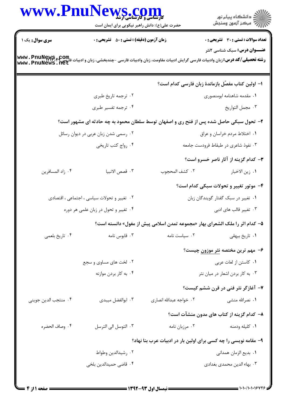|                                      | WWW.PnuNews.com<br>حضرت علی(ع): دانش راهبر نیکویی برای ایمان است |                         | ڪ دانشڪاه پيا <sub>م</sub> نور<br>۾ سرڪز آزمون وسنڊش                                                                                                                                                             |
|--------------------------------------|------------------------------------------------------------------|-------------------------|------------------------------------------------------------------------------------------------------------------------------------------------------------------------------------------------------------------|
| <b>سری سوال :</b> یک ۱               | <b>زمان آزمون (دقیقه) : تستی : 50 ٪ تشریحی : 0</b>               |                         | <b>تعداد سوالات : تستي : 30 - تشريحي : 0</b>                                                                                                                                                                     |
|                                      |                                                                  |                         | <b>عنـــوان درس:</b> سبک شناسی ۲نثر<br><b>رشته تحصیلی/کد درس:</b> زبان وادبیات فارسی گرایش ادبیات مقاومت، زبان وادبیات فارسی -چندبخشی، زبان و ادبیات فارسی <b>؟ www . PnuNewS . net</b><br> www . PnuNews . flet |
|                                      |                                                                  |                         | ا– اولین کتاب مفصّل بازماندهٔ زبان فارسی کدام است؟                                                                                                                                                               |
|                                      | ۰۲ ترجمه تاريخ طبري                                              |                         | ٠١ مقدمه شاهنامه ابومنصورى                                                                                                                                                                                       |
|                                      | ۰۴ ترجمه تفسیر طبری                                              |                         | ٠٣ مجمل التواريخ                                                                                                                                                                                                 |
|                                      |                                                                  |                         | ۲- تحول سبکی حاصل شده پس از فتح ری و اصفهان توسط سلطان محمود به چه حادثه ای مشهور است؟                                                                                                                           |
| ۰۲ رسمی شدن زبان عربی در دیوان رسائل |                                                                  |                         | ١. اختلاط مردم خراسان و عراق                                                                                                                                                                                     |
|                                      | ۰۴ رواج كتب تاريخي                                               |                         | ۰۳ نفوذ شاعری در طبقاط فرودست جامعه                                                                                                                                                                              |
|                                      |                                                                  |                         | <b>۳</b> - کدام گزینه از آثار ناصر خسرو است؟                                                                                                                                                                     |
| ۰۴ زاد المسافرين                     | ٠٣ قصص الانبيا                                                   | ٢. كشف المحجوب          | ٠١. زين الاخبار                                                                                                                                                                                                  |
|                                      |                                                                  |                         | ۴- موتور تغییر و تحولات سبکی کدام است؟                                                                                                                                                                           |
|                                      | ۰۲ تغییر و تحولات سیاسی ، اجتماعی ، اقتصادی                      |                         | ٠١ تغيير در سبك گفتار گويندگان زبان                                                                                                                                                                              |
| ۰۴ تغییر و تحول در زبان علمی هر دوره |                                                                  |                         | ۰۳ تغییر قالب های ادبی                                                                                                                                                                                           |
|                                      |                                                                  |                         | ۵– کدام اثر را ملک الشعرای بهار «مجموعه تمدن اسلامی پیش از مغول» دانسته است؟                                                                                                                                     |
| ۰۴ تاريخ بلعمي                       | قابوس نامه $\cdot$ ۳                                             | ٠٢ سياست نامه           | ۰۱ تاریخ بیهقی                                                                                                                                                                                                   |
|                                      |                                                                  |                         | ۶– مهم ترین مختصه <u>نثر موزون</u> چیست؟                                                                                                                                                                         |
|                                      | ۲. لخت های مساوی و سجع                                           |                         | ٠١ كاستن از لغات عربي                                                                                                                                                                                            |
|                                      | ۰۴ به کار بردن موازنه                                            |                         | ۰۳ به کار بردن اشعار در میان نثر                                                                                                                                                                                 |
|                                      |                                                                  |                         | ۷- آغازگر نثر فنی در قرن ششم کیست؟                                                                                                                                                                               |
| ۰۴ منتجب الدين جويني                 | ۰۳ ابوالفضل میبدی                                                | ۰۲ خواجه عبدالله انصارى | ۰۱ نصرالله منشی                                                                                                                                                                                                  |
|                                      |                                                                  |                         | ۸– کدام گزینه از کتاب های مدون منشآت است؟                                                                                                                                                                        |
| ۰۴ وصاف الحضره                       | ۰۳ التوسل الي الترسل                                             | ۰۲ مرزبان نامه          | ٠١ كليله ودمنه                                                                                                                                                                                                   |
|                                      |                                                                  |                         | ۹- مقامه نویسی را چه کسی برای اولین بار در ادبیات عرب بنا نهاد؟                                                                                                                                                  |
|                                      | ۰۲ رشیدالدین وطواط                                               |                         | ٠١. بديع الزمان همداني                                                                                                                                                                                           |
|                                      | ۰۴ قاضی حمیدالدین بلخی                                           |                         | ۰۳ بهاء الدین محمدی بغدادی                                                                                                                                                                                       |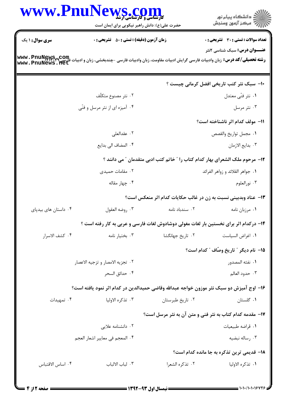| www.Pnu                            | حضرت علی(ع): دانش راهبر نیکویی برای ایمان است      | کارشناسی و کارشناسی ارشد | ≦ دانشڪاه پيام نور<br>√ مرڪز آزمون وسنڊش                                                                                                             |
|------------------------------------|----------------------------------------------------|--------------------------|------------------------------------------------------------------------------------------------------------------------------------------------------|
| <b>سری سوال : ۱ یک</b>             | <b>زمان آزمون (دقیقه) : تستی : 50 ٪ تشریحی : 0</b> |                          | <b>تعداد سوالات : تستي : 30 ٪ تشريحي : 0</b>                                                                                                         |
| www.PnuNews.com<br>www.PnuNews.net |                                                    |                          | <b>عنـــوان درس:</b> سبک شناسی ۲نثر<br><b>رشته تحصیلی/کد درس:</b> زبان وادبیات فارسی گرایش ادبیات مقاومت، زبان وادبیات فارسی –چندبخشی، زبان و ادبیات |
|                                    |                                                    |                          | <b>۱۰- سبک نثر کتب تاریخی افضل کرمانی چیست</b> ؟                                                                                                     |
|                                    | ۰۲ نثر مصنوع متكلّف                                |                          | ۰۱ نثر فنّى معتدل                                                                                                                                    |
|                                    | ۰۴ آمیزه ای از نثر مرسل و فنّی                     |                          | ۰۳ نثر مرسل                                                                                                                                          |
|                                    |                                                    |                          | 11– مولف كدام اثر ناشناخته است؟                                                                                                                      |
|                                    | ٢. عقدالعلي                                        |                          | ٠١ مجمل تواريخ والقصص                                                                                                                                |
|                                    | ۰۴ المضاف الى بدايع                                |                          | ٠٣ بدايع الازمان                                                                                                                                     |
|                                    |                                                    |                          | 1۲– مرحوم ملک الشعرای بهار کدام کتاب را " خاتم کتب ادبی متقدمان " می دانند ؟                                                                         |
|                                    | ۰۲ مقامات حمیدی                                    |                          | ۰۱ جواهر القلائد و زواهر الفرائد                                                                                                                     |
|                                    | ۰۴ چهار مقاله                                      |                          | ۰۳ نورالعلوم                                                                                                                                         |
|                                    |                                                    |                          | ۱۳- عناد وبدبینی نسبت به زن در غالب حکایات کدام اثر منعکس است؟                                                                                       |
| ۰۴ داستان های بیدپای               | ۰۳ روضه العقول                                     | ۰۲ سندباد نامه           | ۰۱ مرزبان نامه                                                                                                                                       |
|                                    |                                                    |                          | ۱۴- درکدام اثر برای نخستین بار لغات مغولی دوشادوش لغات فارسی و عربی به کار رفته است ؟                                                                |
| ۰۴ كشف الاسرار                     | ۰۳ بختيار نامه                                     | ۰۲ تاریخ جهانگشا         | ٠١ اغراض السياست                                                                                                                                     |
|                                    |                                                    |                          | 1۵– نام دیگر ″ تاریخ وصّاف ″ کدام است؟                                                                                                               |
|                                    | ٠٢ تجزيه الامصار و تزجيه الاعصار                   |                          | ٠١. نفثه المصدور                                                                                                                                     |
|                                    | ۰۴ حدائق السحر                                     |                          | ۰۳ حدود العالم                                                                                                                                       |
|                                    |                                                    |                          | ۱۶– اوج آمیزش دو سبک نثر موزون خواجه عبدالله وقاضی حمیدالدین در کدام اثر نمود یافته است؟                                                             |
| ۰۴ تمهیدات                         | ۰۳ تذكره الاوليا                                   | ٠٢ تاريخ طبرستان         | ٠١ گلستان                                                                                                                                            |
|                                    |                                                    |                          | <b>۱۷</b> - مقدمه کدام کتاب به نثر فنی و متن آن به نثر مرسل است؟                                                                                     |
|                                    | ۲. دانشنامه علایی                                  |                          | ٠١ قراضه طبيعيات                                                                                                                                     |
|                                    | ۰۴ المعجم في معايير اشعار العجم                    |                          | ۰۳ رساله نبضيه                                                                                                                                       |
|                                    |                                                    |                          | <b>۱۸- قدیمی ترین تذکره به جا مانده کدام است</b> ؟                                                                                                   |
| ۰۴ اساس الاقتباس                   | ۰۳ لباب الالباب                                    | ٢. تذكره الشعرا          | ١. تذكره الاوليا                                                                                                                                     |
|                                    |                                                    |                          |                                                                                                                                                      |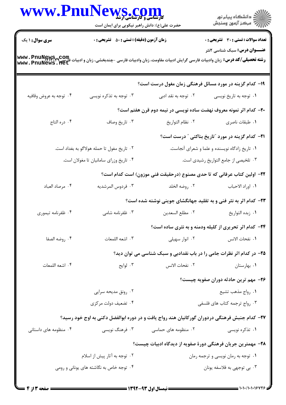|                                                                                                                                         | www.PnuNews.com<br>حضرت علی(ع): دانش راهبر نیکویی برای ایمان است                              |                                                | ر<br>دانشڪاه پيام نور)<br>اڳ مرڪز آزمون وسنڊش                           |  |
|-----------------------------------------------------------------------------------------------------------------------------------------|-----------------------------------------------------------------------------------------------|------------------------------------------------|-------------------------------------------------------------------------|--|
| <b>سری سوال : ۱ یک</b>                                                                                                                  | <b>زمان آزمون (دقیقه) : تستی : 50 ٪ تشریحی : 0</b>                                            |                                                | <b>تعداد سوالات : تستی : 30 ٪ تشریحی : 0</b>                            |  |
| رشته تحصیلی/کد درس: زبان وادبیات فارسی گرایش ادبیات مقاومت، زبان وادبیات فارسی -چندبخشی، زبان و ادبیات فارسی کا<br>www . PnuNews . flet |                                                                                               |                                                | <b>عنـــوان درس:</b> سبک شناسی ۲نثر                                     |  |
|                                                                                                                                         |                                                                                               |                                                | ۱۹- کدام گزینه در مورد مسائل فرهنگی زمان مغول درست است؟                 |  |
| ۰۴ توجه به عروض وقافيه                                                                                                                  | ۰۳ توجه به تذکره نویسی                                                                        | ۰۲ توجه به نقد ادبی                            | ۰۱ توجه به تاریخ نویسی                                                  |  |
|                                                                                                                                         |                                                                                               |                                                | +۲- کدام اثر نمونه معروف نهضت ساده نویسی در نیمه دوم قرن هفتم است؟      |  |
| ۰۴ دره التاج                                                                                                                            | ۰۳ تاريخ وصاف                                                                                 | ٠٢ نظام التواريخ                               | ٠١ طبقات ناصري                                                          |  |
|                                                                                                                                         |                                                                                               |                                                | <b>۲۱</b> – کدام گزینه در مورد ″تاریخ بناکتی ″ درست است؟                |  |
|                                                                                                                                         | ۰۲ تاریخ مغول تا حمله هولاگو به بغداد است.                                                    | ۰۱ تاریخ زادگاه نویسنده و علما و شعرای آنجاست. |                                                                         |  |
|                                                                                                                                         | ۰۴ تاریخ وزرای سامانیان تا مغولان است.                                                        |                                                | ۰۳ تلخیصی از جامع التواریخ رشیدی است.                                   |  |
|                                                                                                                                         |                                                                                               |                                                | ٢٢- اولين كتاب عرفاني كه تا حدى مصنوع (درحقيقت فني موزون) است كدام است؟ |  |
| ۰۴ مرصاد العباد                                                                                                                         | ۰۳ فردوس المرشديه                                                                             | ۰۲ روضه الخلد                                  | ٠١. اوراد الاحباب                                                       |  |
|                                                                                                                                         |                                                                                               |                                                | ۲۳- کدام اثر به نثر فنی و به تقلید جهانگشای جوینی نوشته شده است؟        |  |
| ۰۴ ظفرنامه تيموري                                                                                                                       | ۰۳ ظفرنامه شامی                                                                               | ٠٢ مطلع السعدين                                | ٠١ زبده التواريخ                                                        |  |
|                                                                                                                                         |                                                                                               |                                                | <b>34- کدام اثر تحریری از کلیله ودمنه و به نثری ساده است؟</b>           |  |
| ۰۴ روضه الصفا                                                                                                                           | ٠٣ اشعه اللمعات                                                                               | ۰۲ انوار سهیلی                                 | ٠١. نفحات الانس                                                         |  |
|                                                                                                                                         |                                                                                               |                                                | ۲۵- در کدام اثر نظرات جامی را در باب نقدادبی و سبک شناسی می توان دید؟   |  |
| ۰۴ اشعه اللمعات                                                                                                                         | ۰۳ لوايح                                                                                      | ٢. نفحات الانس                                 | ٠١. بهارستان                                                            |  |
|                                                                                                                                         |                                                                                               |                                                | ۲۶- مهم ترین حادثه دوران صفویه چیست؟                                    |  |
|                                                                                                                                         | ۰۲ رونق مدیحه سرایی                                                                           |                                                | ١. رواج مذهب تشيع                                                       |  |
|                                                                                                                                         | ۰۴ تضعیف دولت مرکزی                                                                           |                                                | ۰۳ رواج ترجمه كتاب هاى فلسفى                                            |  |
|                                                                                                                                         | ۲۷– کدام جنبش فرهنگی دردوران گورکانیان هند رواج یافت و در دوره ابوالفضل دکنی به اوج خود رسید؟ |                                                |                                                                         |  |
| ۰۴ منظومه های داستانی                                                                                                                   | ۰۳ فرهنگ نویسی                                                                                | ۰۲ منظومه های حماسی                            | ۰۱ تذکره نویسی                                                          |  |
|                                                                                                                                         |                                                                                               |                                                | ۲۸– مهمترین جریان فرهنگی دورهٔ صفویه از دیدگاه ادبیات چیست؟             |  |
|                                                                                                                                         | ۰۲ توجه به آثار پیش از اسلام                                                                  |                                                | ٠١ توجه به رمان نويسي و ترجمه رمان                                      |  |
|                                                                                                                                         | ۰۴ توجه خاص به نگاشته های پونانی و رومی                                                       |                                                | ۰۳ بی توجهی به فلاسفه یونان                                             |  |